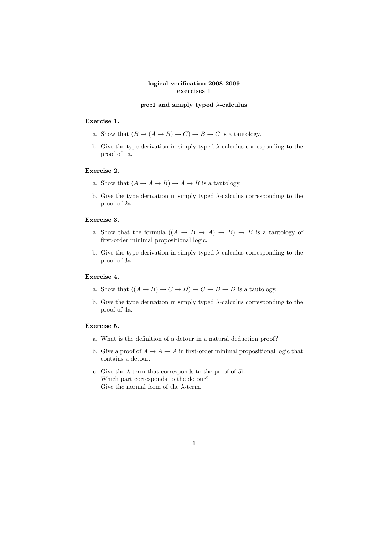## logical verification 2008-2009 exercises 1

#### prop1 and simply typed  $\lambda$ -calculus

#### Exercise 1.

- a. Show that  $(B \to (A \to B) \to C) \to B \to C$  is a tautology.
- b. Give the type derivation in simply typed  $\lambda$ -calculus corresponding to the proof of 1a.

### Exercise 2.

- a. Show that  $(A \to A \to B) \to A \to B$  is a tautology.
- b. Give the type derivation in simply typed  $\lambda$ -calculus corresponding to the proof of 2a.

### Exercise 3.

- a. Show that the formula  $((A \rightarrow B \rightarrow A) \rightarrow B) \rightarrow B$  is a tautology of first-order minimal propositional logic.
- b. Give the type derivation in simply typed  $\lambda$ -calculus corresponding to the proof of 3a.

## Exercise 4.

- a. Show that  $((A \rightarrow B) \rightarrow C \rightarrow D) \rightarrow C \rightarrow B \rightarrow D$  is a tautology.
- b. Give the type derivation in simply typed  $\lambda$ -calculus corresponding to the proof of 4a.

### Exercise 5.

- a. What is the definition of a detour in a natural deduction proof?
- b. Give a proof of  $A \to A \to A$  in first-order minimal propositional logic that contains a detour.
- c. Give the  $\lambda$ -term that corresponds to the proof of 5b. Which part corresponds to the detour? Give the normal form of the  $\lambda$ -term.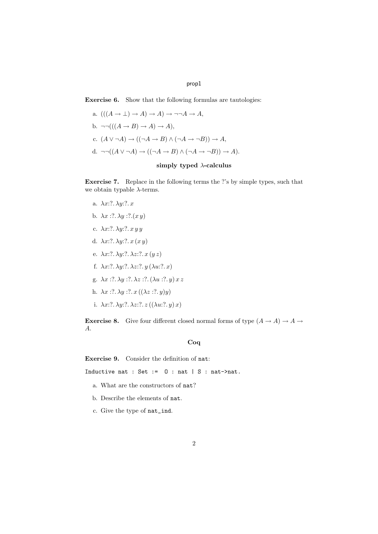### prop1

Exercise 6. Show that the following formulas are tautologies:

a.  $(((A \rightarrow \bot) \rightarrow A) \rightarrow A) \rightarrow \neg \neg A \rightarrow A$ , b.  $\neg\neg((A \rightarrow B) \rightarrow A) \rightarrow A),$ c.  $(A \lor \neg A) \rightarrow ((\neg A \rightarrow B) \land (\neg A \rightarrow \neg B)) \rightarrow A$ , d.  $\neg\neg((A \lor \neg A) \to ((\neg A \to B) \land (\neg A \to \neg B)) \to A).$ 

# simply typed  $\lambda$ -calculus

Exercise 7. Replace in the following terms the ?'s by simple types, such that we obtain typable  $\lambda\text{-terms}.$ 

- a.  $\lambda x$ :?.  $\lambda y$ :?. x
- b.  $\lambda x$  :?.  $\lambda y$  :?.(x y)
- c.  $\lambda x$ :?.  $\lambda y$ :?.  $x y y$
- d.  $\lambda x$ :?.  $\lambda y$ :?.  $x (x y)$
- e.  $\lambda x$ :?.  $\lambda y$ :?.  $\lambda z$ :?.  $x (y z)$
- f.  $\lambda x$ :?.  $\lambda y$ :?.  $\lambda z$ :?.  $y$  ( $\lambda u$ :?.  $x$ )
- g.  $\lambda x$  :?.  $\lambda y$  :?.  $\lambda z$  :?. ( $\lambda u$  :?.  $y$ )  $x z$
- h.  $\lambda x$  :?.  $\lambda y$  :?.  $x((\lambda z$  :?.  $y)y)$
- i.  $\lambda x$ :?.  $\lambda y$ :?.  $\lambda z$ :?.  $z((\lambda u$ :?.  $y)x)$

**Exercise 8.** Give four different closed normal forms of type  $(A \rightarrow A) \rightarrow A \rightarrow$ A.

# Coq

Exercise 9. Consider the definition of nat:

Inductive nat : Set :=  $0$  : nat  $| S :$  nat->nat.

- a. What are the constructors of nat?
- b. Describe the elements of nat.
- c. Give the type of nat\_ind.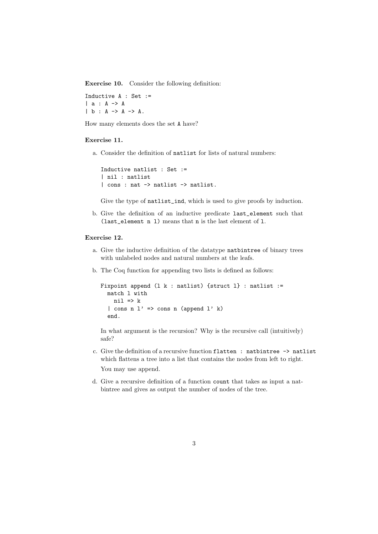Exercise 10. Consider the following definition:

Inductive A : Set := | a : A -> A | b : A -> A -> A.

How many elements does the set A have?

#### Exercise 11.

a. Consider the definition of natlist for lists of natural numbers:

```
Inductive natlist : Set :=
| nil : natlist
| cons : nat -> natlist -> natlist.
```
Give the type of natlist\_ind, which is used to give proofs by induction.

b. Give the definition of an inductive predicate last\_element such that (last element  $n 1$ ) means that  $n$  is the last element of 1.

#### Exercise 12.

- a. Give the inductive definition of the datatype natbintree of binary trees with unlabeled nodes and natural numbers at the leafs.
- b. The Coq function for appending two lists is defined as follows:

```
Fixpoint append (l k : natlist) {struct l} : natlist :=
 match l with
   ni1 => k| cons n l' => cons n (append l' k)
  end.
```
In what argument is the recursion? Why is the recursive call (intuitively) safe?

- c. Give the definition of a recursive function flatten : natbintree -> natlist which flattens a tree into a list that contains the nodes from left to right. You may use append.
- d. Give a recursive definition of a function count that takes as input a natbintree and gives as output the number of nodes of the tree.